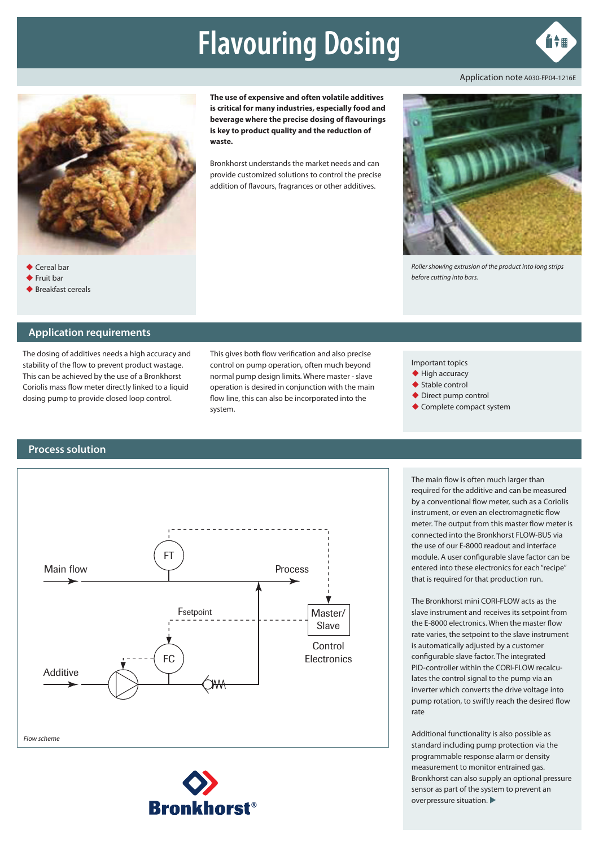# **Flavouring Dosing**



Application note A030-FP04-1216E



**The use of expensive and often volatile additives is critical for many industries, especially food and beverage where the precise dosing of flavourings is key to product quality and the reduction of waste.**

Bronkhorst understands the market needs and can provide customized solutions to control the precise addition of flavours, fragrances or other additives.



*Roller showing extrusion of the product into long strips before cutting into bars.*

**Application requirements**

◆ Fruit bar ◆ Breakfast cereals

The dosing of additives needs a high accuracy and stability of the flow to prevent product wastage. This can be achieved by the use of a Bronkhorst Coriolis mass flow meter directly linked to a liquid dosing pump to provide closed loop control.

This gives both flow verification and also precise control on pump operation, often much beyond normal pump design limits. Where master - slave operation is desired in conjunction with the main flow line, this can also be incorporated into the system.

Important topics

- $\blacklozenge$  High accuracy
- ◆ Stable control
- ◆ Direct pump control
- ◆ Complete compact system

#### **Process solution**





The main flow is often much larger than required for the additive and can be measured by a conventional flow meter, such as a Coriolis instrument, or even an electromagnetic flow meter. The output from this master flow meter is connected into the Bronkhorst FLOW-BUS via the use of our E-8000 readout and interface module. A user configurable slave factor can be entered into these electronics for each "recipe" that is required for that production run.

The Bronkhorst mini CORI-FLOW acts as the slave instrument and receives its setpoint from the E-8000 electronics. When the master flow rate varies, the setpoint to the slave instrument is automatically adjusted by a customer configurable slave factor. The integrated PID-controller within the CORI-FLOW recalculates the control signal to the pump via an inverter which converts the drive voltage into pump rotation, to swiftly reach the desired flow rate

Additional functionality is also possible as standard including pump protection via the programmable response alarm or density measurement to monitor entrained gas. Bronkhorst can also supply an optional pressure sensor as part of the system to prevent an overpressure situation.  $\blacktriangleright$